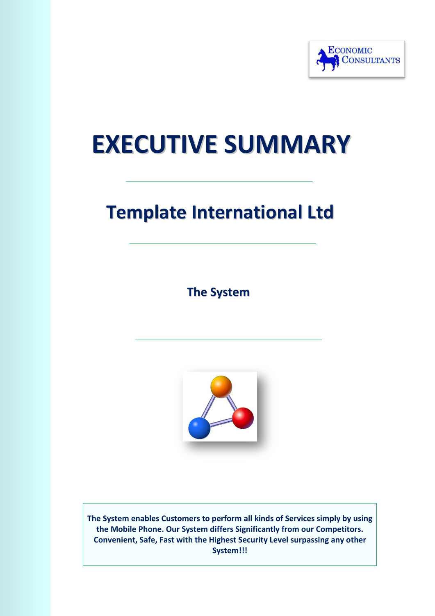

# **EXECUTIVE SUMMARY**

# **Template International Ltd**

**The System**



**The System enables Customers to perform all kinds of Services simply by using the Mobile Phone. Our System differs Significantly from our Competitors. Convenient, Safe, Fast with the Highest Security Level surpassing any other System!!!**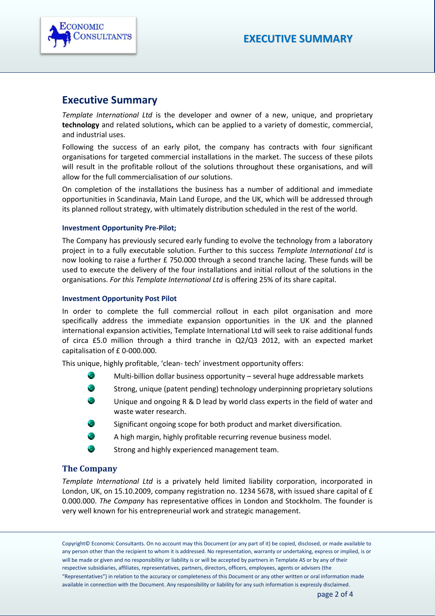

### **Executive Summary**

*Template International Ltd* is the developer and owner of a new, unique, and proprietary **technology** and related solutions**,** which can be applied to a variety of domestic, commercial, and industrial uses.

Following the success of an early pilot, the company has contracts with four significant organisations for targeted commercial installations in the market. The success of these pilots will result in the profitable rollout of the solutions throughout these organisations, and will allow for the full commercialisation of *our* solutions.

On completion of the installations the business has a number of additional and immediate opportunities in Scandinavia, Main Land Europe, and the UK, which will be addressed through its planned rollout strategy, with ultimately distribution scheduled in the rest of the world.

#### **Investment Opportunity Pre-Pilot;**

The Company has previously secured early funding to evolve the technology from a laboratory project in to a fully executable solution. Further to this success *Template International Ltd* is now looking to raise a further £ 750.000 through a second tranche lacing. These funds will be used to execute the delivery of the four installations and initial rollout of the solutions in the organisations. *For this Template International Ltd* is offering 25% of its share capital.

#### **Investment Opportunity Post Pilot**

In order to complete the full commercial rollout in each pilot organisation and more specifically address the immediate expansion opportunities in the UK and the planned international expansion activities, Template International Ltd will seek to raise additional funds of circa £5.0 million through a third tranche in Q2/Q3 2012, with an expected market capitalisation of £0-000.000.

This unique, highly profitable, 'clean- tech' investment opportunity offers:

- œ Multi-billion dollar business opportunity – several huge addressable markets
- ٠ Strong, unique (patent pending) technology underpinning proprietary solutions
- Unique and ongoing R & D lead by world class experts in the field of water and waste water research.
- Significant ongoing scope for both product and market diversification.
- A high margin, highly profitable recurring revenue business model.
- Strong and highly experienced management team.

#### **The Company**

S.

*Template International Ltd* is a privately held limited liability corporation, incorporated in London, UK, on 15.10.2009, company registration no. 1234 5678, with issued share capital of £ 0.000.000. *The Company* has representative offices in London and Stockholm. The founder is very well known for his entrepreneurial work and strategic management.

Copyright© Economic Consultants. On no account may this Document (or any part of it) be copied, disclosed, or made available to any person other than the recipient to whom it is addressed. No representation, warranty or undertaking, express or implied, is or will be made or given and no responsibility or liability is or will be accepted by partners in Template AS or by any of their respective subsidiaries, affiliates, representatives, partners, directors, officers, employees, agents or advisers (the "Representatives") in relation to the accuracy or completeness of this Document or any other written or oral information made available in connection with the Document. Any responsibility or liability for any such information is expressly disclaimed.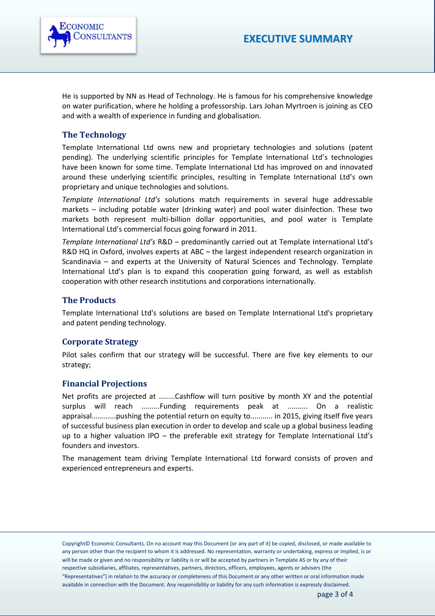

He is supported by NN as Head of Technology. He is famous for his comprehensive knowledge on water purification, where he holding a professorship. Lars Johan Myrtroen is joining as CEO and with a wealth of experience in funding and globalisation.

#### **The Technology**

Template International Ltd owns new and proprietary technologies and solutions (patent pending). The underlying scientific principles for Template International Ltd's technologies have been known for some time. Template International Ltd has improved on and innovated around these underlying scientific principles, resulting in Template International Ltd's own proprietary and unique technologies and solutions.

*Template International Ltd's* solutions match requirements in several huge addressable markets – including potable water (drinking water) and pool water disinfection. These two markets both represent multi-billion dollar opportunities, and pool water is Template International Ltd's commercial focus going forward in 2011.

*Template International Ltd's* R&D – predominantly carried out at Template International Ltd's R&D HQ in Oxford, involves experts at ABC – the largest independent research organization in Scandinavia – and experts at the University of Natural Sciences and Technology. Template International Ltd's plan is to expand this cooperation going forward, as well as establish cooperation with other research institutions and corporations internationally.

#### **The Products**

Template International Ltd's solutions are based on Template International Ltd's proprietary and patent pending technology.

#### **Corporate Strategy**

Pilot sales confirm that our strategy will be successful. There are five key elements to our strategy;

#### **Financial Projections**

Net profits are projected at ........Cashflow will turn positive by month XY and the potential surplus will reach .........Funding requirements peak at .......... On a realistic appraisal............pushing the potential return on equity to........... in 2015, giving itself five years of successful business plan execution in order to develop and scale up a global business leading up to a higher valuation IPO – the preferable exit strategy for Template International Ltd's founders and investors.

The management team driving Template International Ltd forward consists of proven and experienced entrepreneurs and experts.

Copyright© Economic Consultants. On no account may this Document (or any part of it) be copied, disclosed, or made available to any person other than the recipient to whom it is addressed. No representation, warranty or undertaking, express or implied, is or will be made or given and no responsibility or liability is or will be accepted by partners in Template AS or by any of their respective subsidiaries, affiliates, representatives, partners, directors, officers, employees, agents or advisers (the "Representatives") in relation to the accuracy or completeness of this Document or any other written or oral information made available in connection with the Document. Any responsibility or liability for any such information is expressly disclaimed.